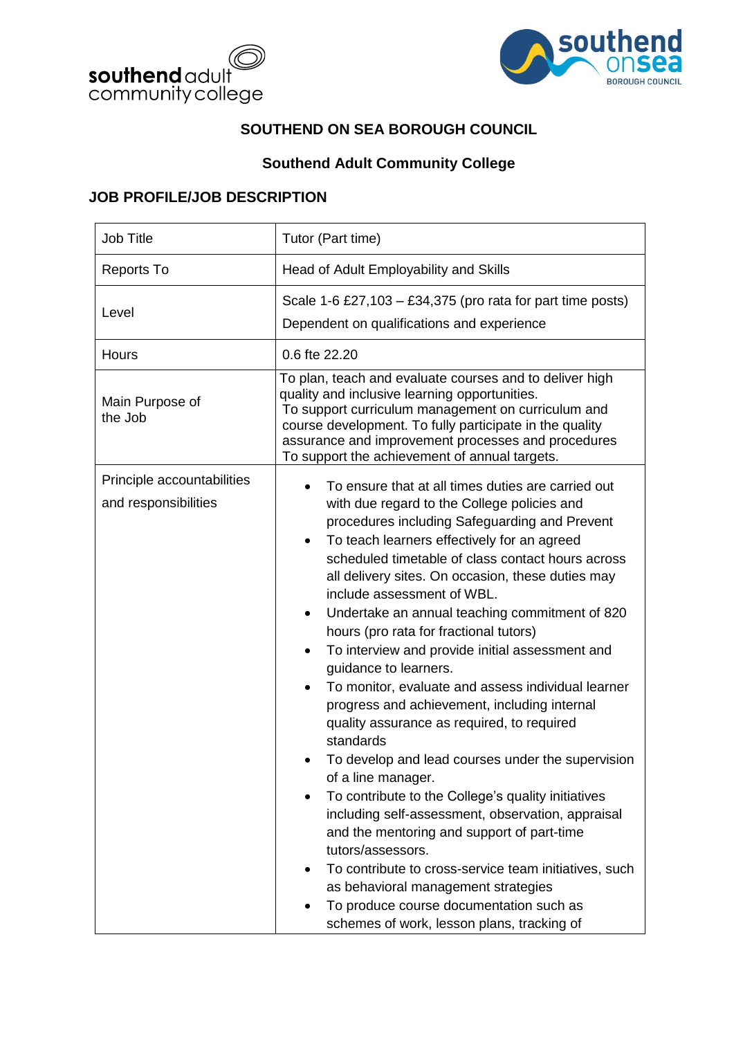



### **SOUTHEND ON SEA BOROUGH COUNCIL**

## **Southend Adult Community College**

#### **JOB PROFILE/JOB DESCRIPTION**

| <b>Job Title</b>                                   | Tutor (Part time)                                                                                                                                                                                                                                                                                                                                                                                                                                                                                                                                                                                                                                                                                                                                                                                                                                                                                                                                                                                                                                                                                                                                                   |  |  |  |
|----------------------------------------------------|---------------------------------------------------------------------------------------------------------------------------------------------------------------------------------------------------------------------------------------------------------------------------------------------------------------------------------------------------------------------------------------------------------------------------------------------------------------------------------------------------------------------------------------------------------------------------------------------------------------------------------------------------------------------------------------------------------------------------------------------------------------------------------------------------------------------------------------------------------------------------------------------------------------------------------------------------------------------------------------------------------------------------------------------------------------------------------------------------------------------------------------------------------------------|--|--|--|
| <b>Reports To</b>                                  | Head of Adult Employability and Skills                                                                                                                                                                                                                                                                                                                                                                                                                                                                                                                                                                                                                                                                                                                                                                                                                                                                                                                                                                                                                                                                                                                              |  |  |  |
| Level                                              | Scale 1-6 £27,103 – £34,375 (pro rata for part time posts)<br>Dependent on qualifications and experience                                                                                                                                                                                                                                                                                                                                                                                                                                                                                                                                                                                                                                                                                                                                                                                                                                                                                                                                                                                                                                                            |  |  |  |
| <b>Hours</b>                                       | 0.6 fte 22.20                                                                                                                                                                                                                                                                                                                                                                                                                                                                                                                                                                                                                                                                                                                                                                                                                                                                                                                                                                                                                                                                                                                                                       |  |  |  |
| Main Purpose of<br>the Job                         | To plan, teach and evaluate courses and to deliver high<br>quality and inclusive learning opportunities.<br>To support curriculum management on curriculum and<br>course development. To fully participate in the quality<br>assurance and improvement processes and procedures<br>To support the achievement of annual targets.                                                                                                                                                                                                                                                                                                                                                                                                                                                                                                                                                                                                                                                                                                                                                                                                                                    |  |  |  |
| Principle accountabilities<br>and responsibilities | To ensure that at all times duties are carried out<br>with due regard to the College policies and<br>procedures including Safeguarding and Prevent<br>To teach learners effectively for an agreed<br>scheduled timetable of class contact hours across<br>all delivery sites. On occasion, these duties may<br>include assessment of WBL.<br>Undertake an annual teaching commitment of 820<br>٠<br>hours (pro rata for fractional tutors)<br>To interview and provide initial assessment and<br>$\bullet$<br>guidance to learners.<br>To monitor, evaluate and assess individual learner<br>$\bullet$<br>progress and achievement, including internal<br>quality assurance as required, to required<br>standards<br>To develop and lead courses under the supervision<br>of a line manager.<br>To contribute to the College's quality initiatives<br>including self-assessment, observation, appraisal<br>and the mentoring and support of part-time<br>tutors/assessors.<br>To contribute to cross-service team initiatives, such<br>as behavioral management strategies<br>To produce course documentation such as<br>schemes of work, lesson plans, tracking of |  |  |  |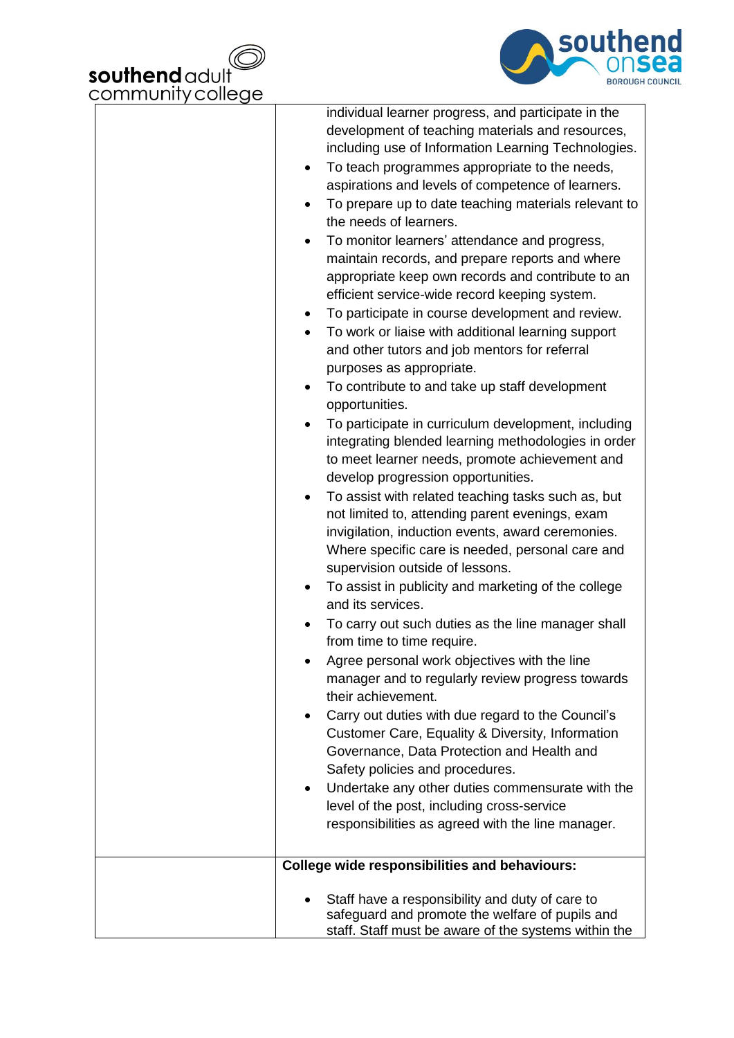



|           | individual learner progress, and participate in the<br>development of teaching materials and resources, |
|-----------|---------------------------------------------------------------------------------------------------------|
|           | including use of Information Learning Technologies.                                                     |
|           |                                                                                                         |
| $\bullet$ | To teach programmes appropriate to the needs,                                                           |
|           | aspirations and levels of competence of learners.                                                       |
|           | To prepare up to date teaching materials relevant to                                                    |
|           | the needs of learners.                                                                                  |
|           | To monitor learners' attendance and progress,                                                           |
|           | maintain records, and prepare reports and where                                                         |
|           | appropriate keep own records and contribute to an                                                       |
|           | efficient service-wide record keeping system.                                                           |
|           | To participate in course development and review.                                                        |
|           | To work or liaise with additional learning support                                                      |
|           | and other tutors and job mentors for referral                                                           |
|           | purposes as appropriate.                                                                                |
|           | To contribute to and take up staff development                                                          |
|           | opportunities.                                                                                          |
|           | To participate in curriculum development, including                                                     |
|           | integrating blended learning methodologies in order                                                     |
|           | to meet learner needs, promote achievement and                                                          |
|           | develop progression opportunities.                                                                      |
|           | To assist with related teaching tasks such as, but                                                      |
|           | not limited to, attending parent evenings, exam                                                         |
|           | invigilation, induction events, award ceremonies.                                                       |
|           | Where specific care is needed, personal care and                                                        |
|           | supervision outside of lessons.                                                                         |
|           | To assist in publicity and marketing of the college                                                     |
|           | and its services.                                                                                       |
|           | To carry out such duties as the line manager shall                                                      |
|           | from time to time require.                                                                              |
|           | Agree personal work objectives with the line                                                            |
|           | manager and to regularly review progress towards                                                        |
|           | their achievement.                                                                                      |
|           | Carry out duties with due regard to the Council's                                                       |
|           | Customer Care, Equality & Diversity, Information                                                        |
|           | Governance, Data Protection and Health and                                                              |
|           | Safety policies and procedures.                                                                         |
|           | Undertake any other duties commensurate with the                                                        |
|           | level of the post, including cross-service                                                              |
|           | responsibilities as agreed with the line manager.                                                       |
|           |                                                                                                         |
|           | <b>College wide responsibilities and behaviours:</b>                                                    |
|           |                                                                                                         |
|           | Staff have a responsibility and duty of care to<br>safeguard and promote the welfare of pupils and      |
|           | staff. Staff must be aware of the systems within the                                                    |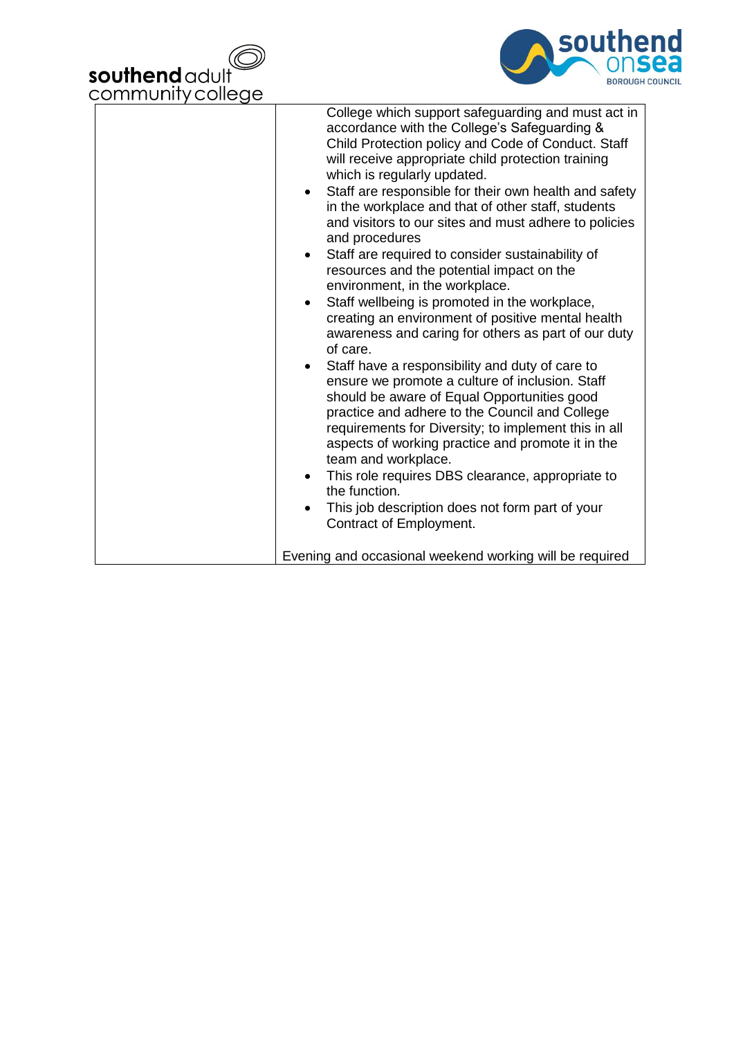



| College which support safeguarding and must act in<br>accordance with the College's Safeguarding &<br>Child Protection policy and Code of Conduct. Staff<br>will receive appropriate child protection training<br>which is regularly updated.<br>Staff are responsible for their own health and safety<br>in the workplace and that of other staff, students<br>and visitors to our sites and must adhere to policies<br>and procedures<br>Staff are required to consider sustainability of<br>resources and the potential impact on the<br>environment, in the workplace.<br>Staff wellbeing is promoted in the workplace,<br>creating an environment of positive mental health<br>awareness and caring for others as part of our duty<br>of care.<br>Staff have a responsibility and duty of care to<br>ensure we promote a culture of inclusion. Staff<br>should be aware of Equal Opportunities good<br>practice and adhere to the Council and College<br>requirements for Diversity; to implement this in all<br>aspects of working practice and promote it in the<br>team and workplace.<br>This role requires DBS clearance, appropriate to<br>the function.<br>This job description does not form part of your<br>Contract of Employment.<br>Evening and occasional weekend working will be required |
|--------------------------------------------------------------------------------------------------------------------------------------------------------------------------------------------------------------------------------------------------------------------------------------------------------------------------------------------------------------------------------------------------------------------------------------------------------------------------------------------------------------------------------------------------------------------------------------------------------------------------------------------------------------------------------------------------------------------------------------------------------------------------------------------------------------------------------------------------------------------------------------------------------------------------------------------------------------------------------------------------------------------------------------------------------------------------------------------------------------------------------------------------------------------------------------------------------------------------------------------------------------------------------------------------------------|
|                                                                                                                                                                                                                                                                                                                                                                                                                                                                                                                                                                                                                                                                                                                                                                                                                                                                                                                                                                                                                                                                                                                                                                                                                                                                                                              |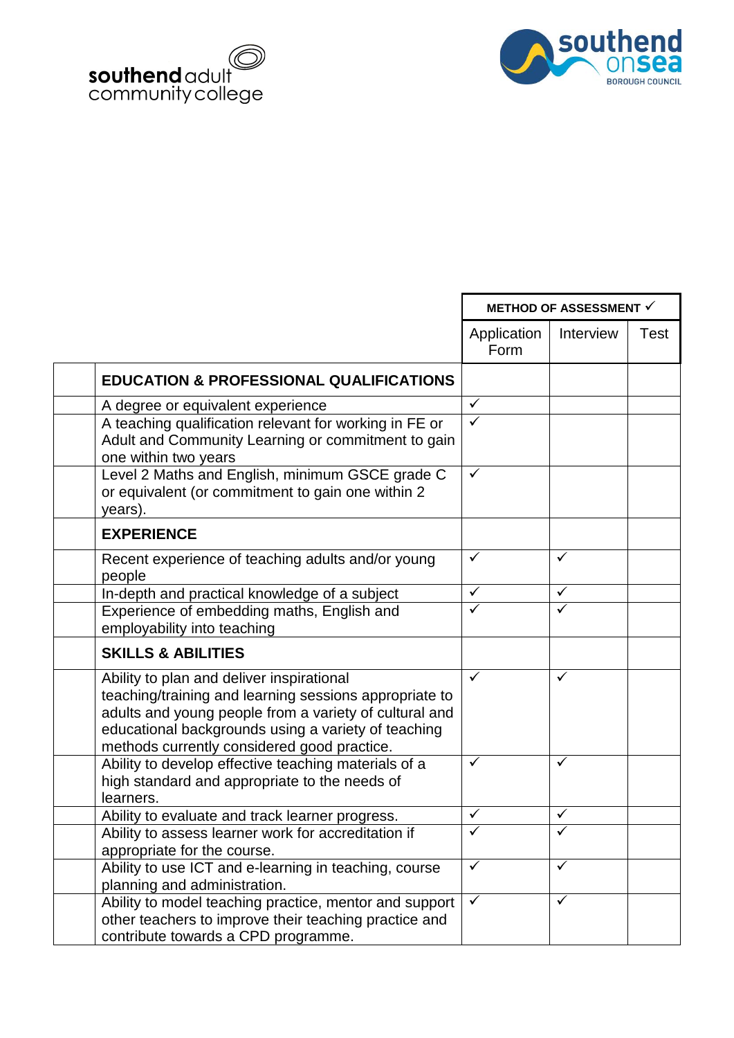



|                                                                                                                                                                                                                                                                     | <b>METHOD OF ASSESSMENT √</b> |              |             |
|---------------------------------------------------------------------------------------------------------------------------------------------------------------------------------------------------------------------------------------------------------------------|-------------------------------|--------------|-------------|
|                                                                                                                                                                                                                                                                     | Application<br>Form           | Interview    | <b>Test</b> |
| <b>EDUCATION &amp; PROFESSIONAL QUALIFICATIONS</b>                                                                                                                                                                                                                  |                               |              |             |
| A degree or equivalent experience                                                                                                                                                                                                                                   | $\checkmark$                  |              |             |
| A teaching qualification relevant for working in FE or<br>Adult and Community Learning or commitment to gain<br>one within two years                                                                                                                                | $\overline{\checkmark}$       |              |             |
| Level 2 Maths and English, minimum GSCE grade C<br>or equivalent (or commitment to gain one within 2<br>years).                                                                                                                                                     | $\checkmark$                  |              |             |
| <b>EXPERIENCE</b>                                                                                                                                                                                                                                                   |                               |              |             |
| Recent experience of teaching adults and/or young<br>people                                                                                                                                                                                                         | $\checkmark$                  | ✓            |             |
| In-depth and practical knowledge of a subject                                                                                                                                                                                                                       | ✓                             | ✓            |             |
| Experience of embedding maths, English and<br>employability into teaching                                                                                                                                                                                           | ✓                             | ✓            |             |
| <b>SKILLS &amp; ABILITIES</b>                                                                                                                                                                                                                                       |                               |              |             |
| Ability to plan and deliver inspirational<br>teaching/training and learning sessions appropriate to<br>adults and young people from a variety of cultural and<br>educational backgrounds using a variety of teaching<br>methods currently considered good practice. | $\checkmark$                  | ✓            |             |
| Ability to develop effective teaching materials of a<br>high standard and appropriate to the needs of<br>learners.                                                                                                                                                  | $\checkmark$                  | ✓            |             |
| Ability to evaluate and track learner progress.                                                                                                                                                                                                                     | $\checkmark$                  | $\checkmark$ |             |
| Ability to assess learner work for accreditation if<br>appropriate for the course.                                                                                                                                                                                  | ✓                             | ✓            |             |
| Ability to use ICT and e-learning in teaching, course<br>planning and administration.                                                                                                                                                                               | ✓                             | ✓            |             |
| Ability to model teaching practice, mentor and support<br>other teachers to improve their teaching practice and<br>contribute towards a CPD programme.                                                                                                              | $\checkmark$                  | $\checkmark$ |             |